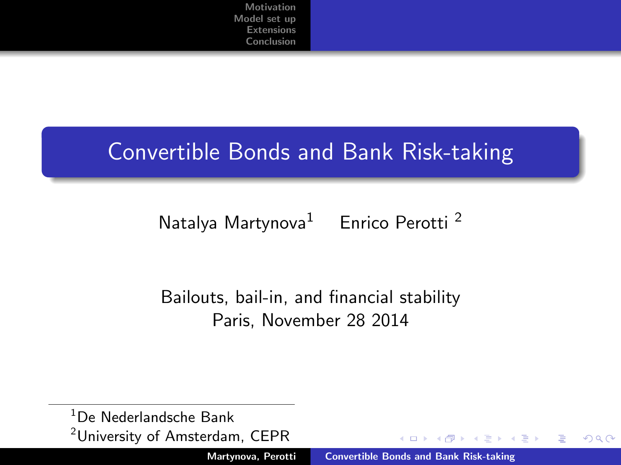### Convertible Bonds and Bank Risk-taking

### Natalya Martynova<sup>1</sup> Enrico Perotti<sup>2</sup>

### Bailouts, bail-in, and financial stability Paris, November 28 2014

<sup>1</sup>De Nederlandsche Bank <sup>2</sup>University of Amsterdam, CEPR

<span id="page-0-0"></span> $4.11 \times 4.60 \times 4.71 \times$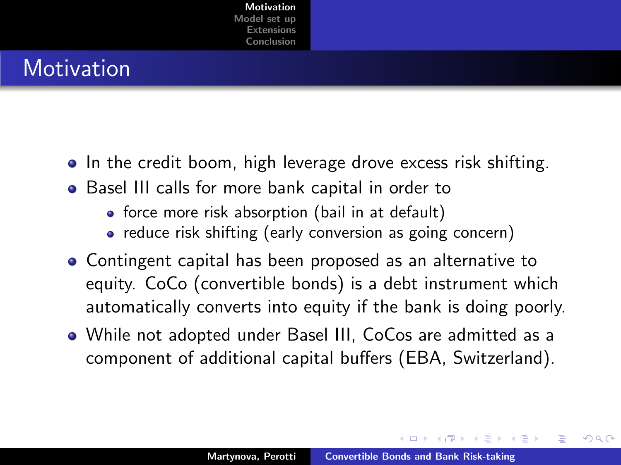### **Motivation**

- In the credit boom, high leverage drove excess risk shifting.
- Basel III calls for more bank capital in order to
	- force more risk absorption (bail in at default)
	- reduce risk shifting (early conversion as going concern)
- Contingent capital has been proposed as an alternative to equity. CoCo (convertible bonds) is a debt instrument which automatically converts into equity if the bank is doing poorly.
- While not adopted under Basel III, CoCos are admitted as a component of additional capital buffers (EBA, Switzerland).

<span id="page-1-0"></span>イロメ マ桐 メラミンマラメ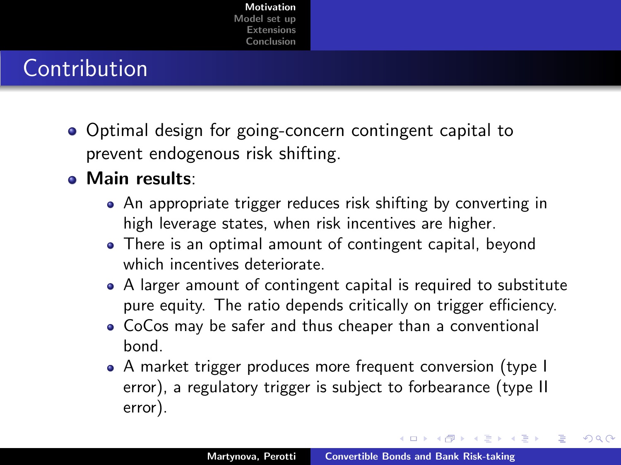# Contribution

- Optimal design for going-concern contingent capital to prevent endogenous risk shifting.
- Main results:
	- An appropriate trigger reduces risk shifting by converting in high leverage states, when risk incentives are higher.
	- There is an optimal amount of contingent capital, beyond which incentives deteriorate.
	- A larger amount of contingent capital is required to substitute pure equity. The ratio depends critically on trigger efficiency.
	- CoCos may be safer and thus cheaper than a conventional bond.
	- A market trigger produces more frequent conversion (type I error), a regulatory trigger is subject to forbearance (type II error).

イロメ マ桐 メラミンマラメ

∽≏ດ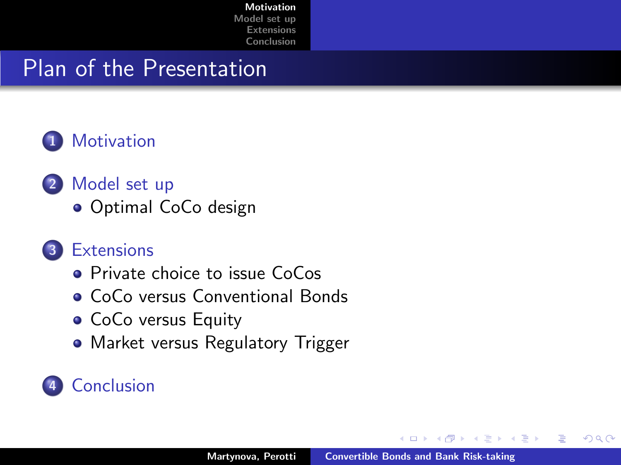### Plan of the Presentation



- 2 [Model set up](#page-4-0)
	- [Optimal CoCo design](#page-10-0)

### **3** [Extensions](#page-15-0)

- **•** [Private choice to issue CoCos](#page-15-0)
- [CoCo versus Conventional Bonds](#page-16-0)
- [CoCo versus Equity](#page-17-0)
- [Market versus Regulatory Trigger](#page-18-0)

### **[Conclusion](#page-23-0)**

つくい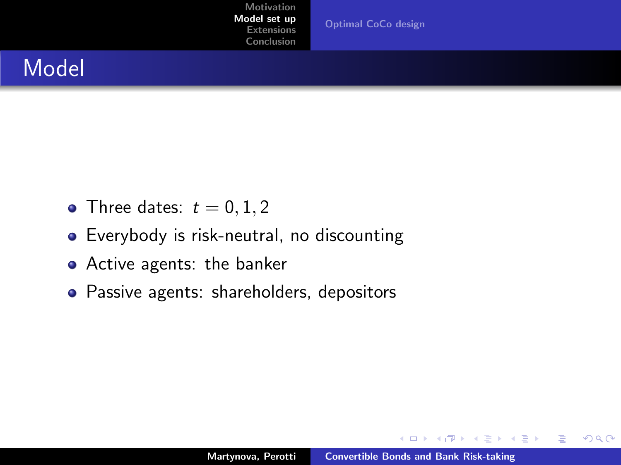[Optimal CoCo design](#page-10-0)

### Model

- Three dates:  $t = 0, 1, 2$
- Everybody is risk-neutral, no discounting
- **•** Active agents: the banker
- Passive agents: shareholders, depositors

K ロ ⊁ K 倒 ≯ K ミ ⊁ K ミ ≯

 $2Q$ 

<span id="page-4-0"></span>后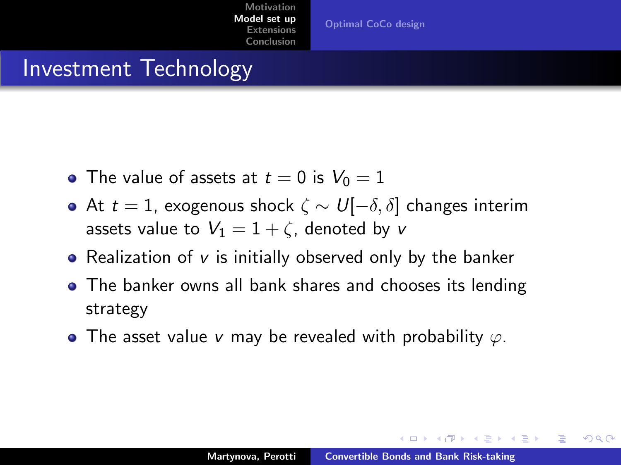### Investment Technology

- The value of assets at  $t = 0$  is  $V_0 = 1$
- At  $t = 1$ , exogenous shock  $\zeta \sim U[-\delta, \delta]$  changes interim assets value to  $V_1 = 1 + \zeta$ , denoted by v
- Realization of  $v$  is initially observed only by the banker
- The banker owns all bank shares and chooses its lending strategy
- The asset value v may be revealed with probability  $\varphi$ .

メロメ メタメ メモメ メモメ

つくい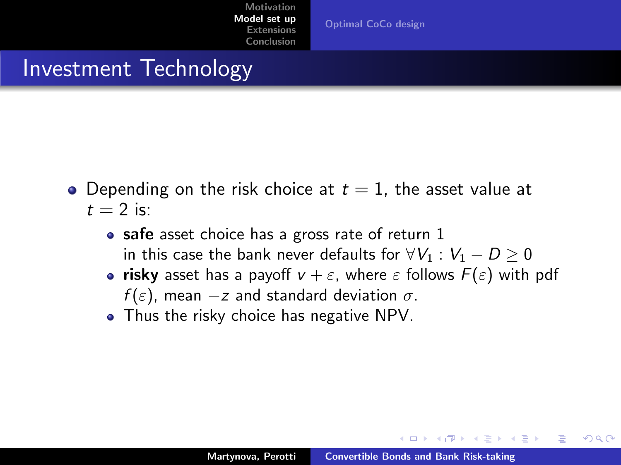### Investment Technology

- Depending on the risk choice at  $t = 1$ , the asset value at  $t = 2$  is:
	- safe asset choice has a gross rate of return 1 in this case the bank never defaults for  $\forall V_1 : V_1 - D \geq 0$
	- risky asset has a payoff  $v + \varepsilon$ , where  $\varepsilon$  follows  $F(\varepsilon)$  with pdf  $f(\varepsilon)$ , mean  $-z$  and standard deviation  $\sigma$ .
	- Thus the risky choice has negative NPV.

メロメ メタメ メモメ メモメ

<span id="page-6-0"></span>つくい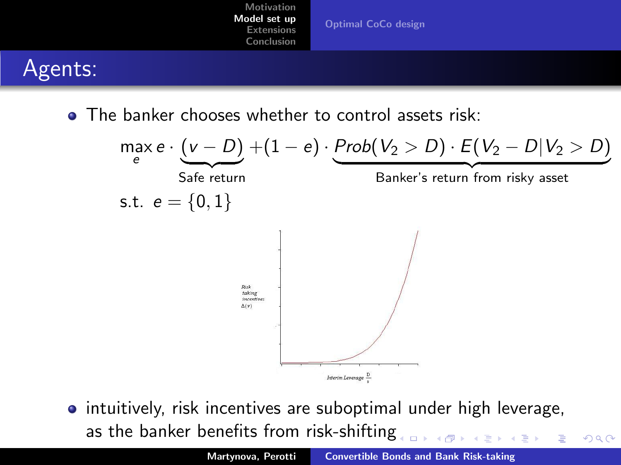

• The banker chooses whether to control assets risk:



**•** intuitively, risk incentives are suboptimal under high leverage, as the banker benefits from risk-shiftin[g](#page-6-0)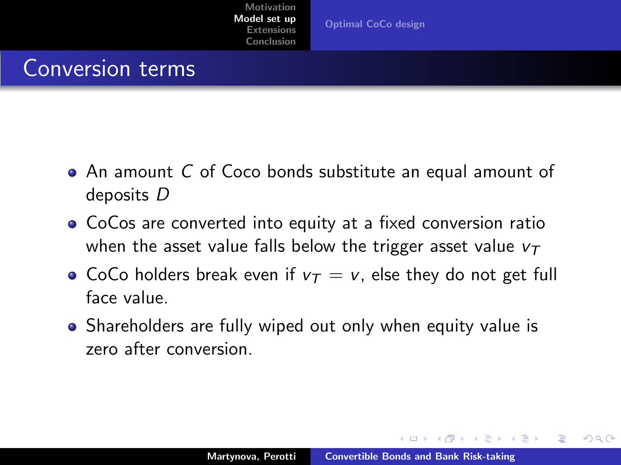[Optimal CoCo design](#page-10-0)

### Conversion terms

- An amount C of Coco bonds substitute an equal amount of deposits D
- CoCos are converted into equity at a fixed conversion ratio when the asset value falls below the trigger asset value  $v<sub>T</sub>$
- CoCo holders break even if  $v_T = v$ , else they do not get full face value.
- Shareholders are fully wiped out only when equity value is zero after conversion.

メロメ メタメ メモメ メモメ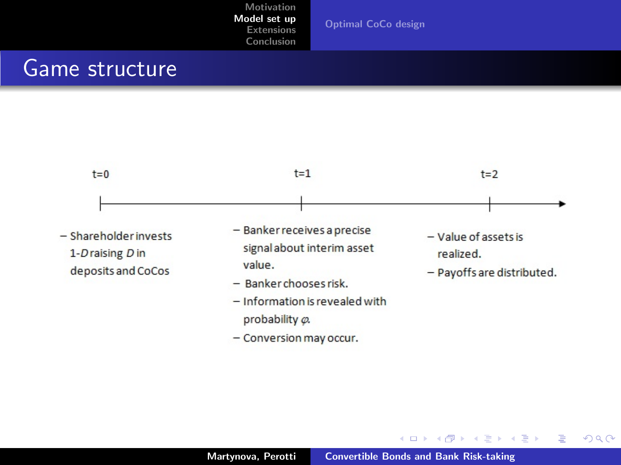[Optimal CoCo design](#page-10-0)

### Game structure



- Conversion may occur.

イロト イ押 トイモト イモト

重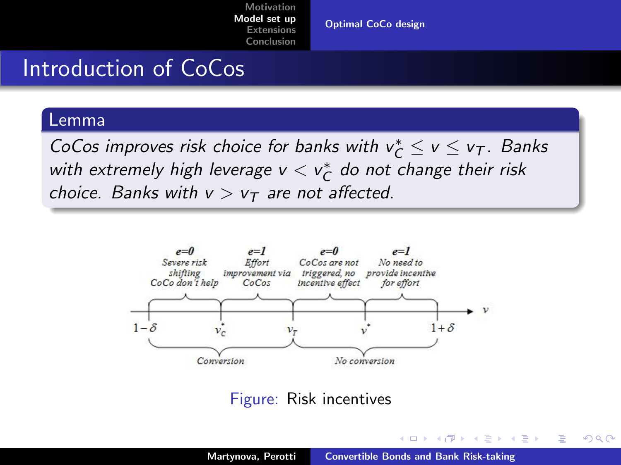[Optimal CoCo design](#page-10-0)

### Introduction of CoCos

#### Lemma

CoCos improves risk choice for banks with  $v_C^* \le v \le v_T$ . Banks with extremely high leverage  $v < v^*_\mathcal{C}$  do not change their risk choice. Banks with  $v > v<sub>T</sub>$  are not affected.



Figure: Risk incentives

<span id="page-10-0"></span>K ロ ⊁ K 倒 ≯ K ミ ⊁ K ミ ≯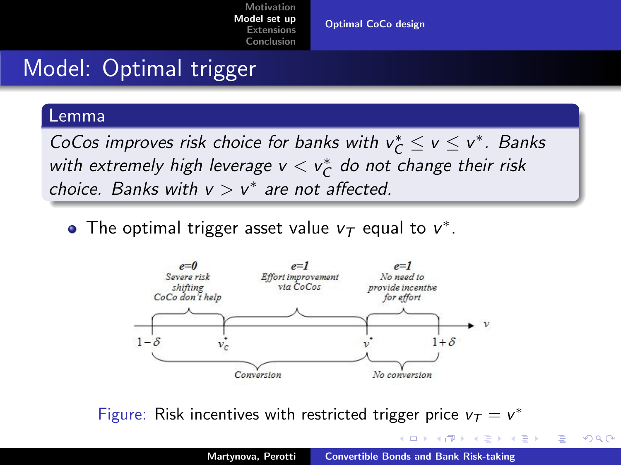[Optimal CoCo design](#page-10-0)

# Model: Optimal trigger

#### Lemma

CoCos improves risk choice for banks with  $v_C^* \le v \le v^*$ . Banks with extremely high leverage  $v < v^*_\mathcal{C}$  do not change their risk choice. Banks with  $v > v^*$  are not affected.

The optimal trigger asset value  $v_T$  equal to  $v^*$ .



Figure: Risk incentives with restricted trigger price  $v_T = v^*$ 

K ロ ⊁ K 倒 ≯ K ミ ⊁ K ミ ≯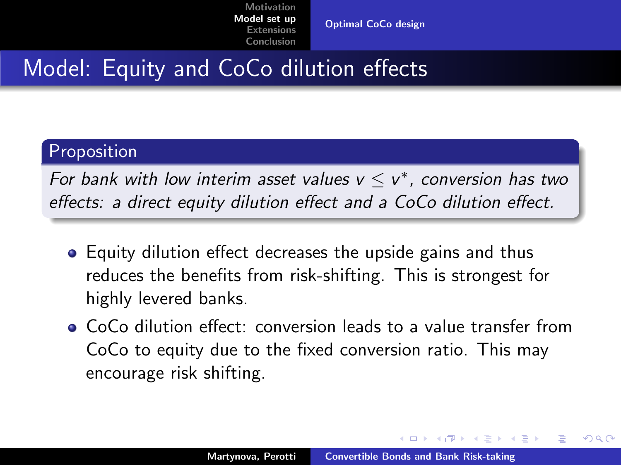[Optimal CoCo design](#page-10-0)

### Model: Equity and CoCo dilution effects

#### Proposition

For bank with low interim asset values  $v \le v^*$ , conversion has two effects: a direct equity dilution effect and a CoCo dilution effect.

- Equity dilution effect decreases the upside gains and thus reduces the benefits from risk-shifting. This is strongest for highly levered banks.
- CoCo dilution effect: conversion leads to a value transfer from CoCo to equity due to the fixed conversion ratio. This may encourage risk shifting.

イロメ マ桐 メラミンマラメ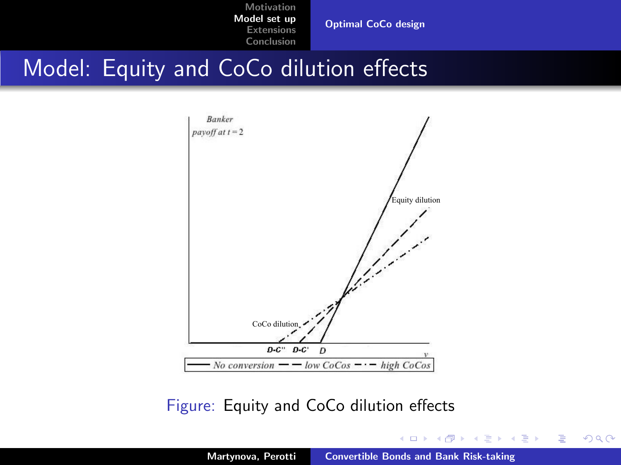[Optimal CoCo design](#page-10-0)

### Model: Equity and CoCo dilution effects



### Figure: Equity and CoCo dilution effects

K ロ ⊁ K 倒 ≯ K ミ ⊁ K ミ ≯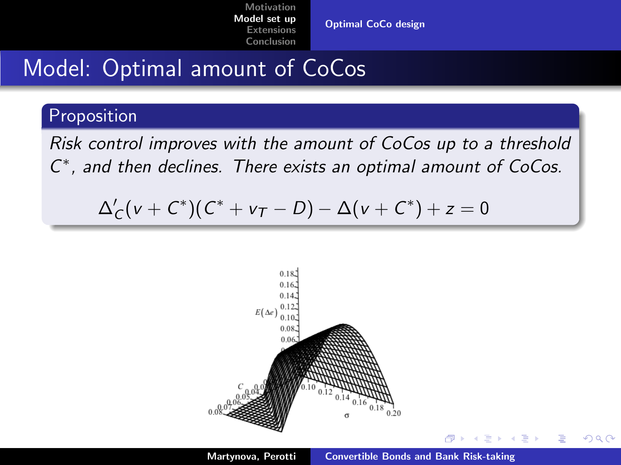[Optimal CoCo design](#page-10-0)

# Model: Optimal amount of CoCos

### **Proposition**

Risk control improves with the amount of CoCos up to a threshold C ∗ , and then declines. There exists an optimal amount of CoCos.

$$
\Delta'_C(v+C^*)(C^*+v_T-D)-\Delta(v+C^*)+z=0
$$



A.

<span id="page-14-0"></span>Ξ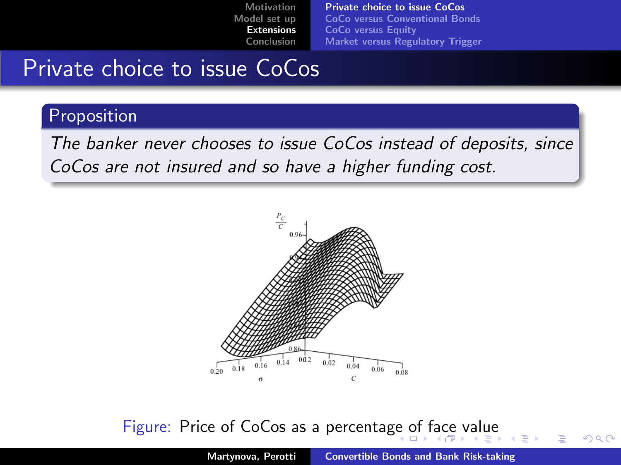[Private choice to issue CoCos](#page-15-0) [CoCo versus Conventional Bonds](#page-16-0) [CoCo versus Equity](#page-17-0) [Market versus Regulatory Trigger](#page-18-0)

## Private choice to issue CoCos

### Proposition

The banker never chooses to issue CoCos instead of deposits, since CoCos are not insured and so have a higher funding cost.



#### <span id="page-15-0"></span>Figure: Price of CoCos as a percentag[e o](#page-14-0)[f f](#page-16-0)[a](#page-14-0)[ce](#page-15-0) [v](#page-16-0)[a](#page-14-0)[lue](#page-15-0)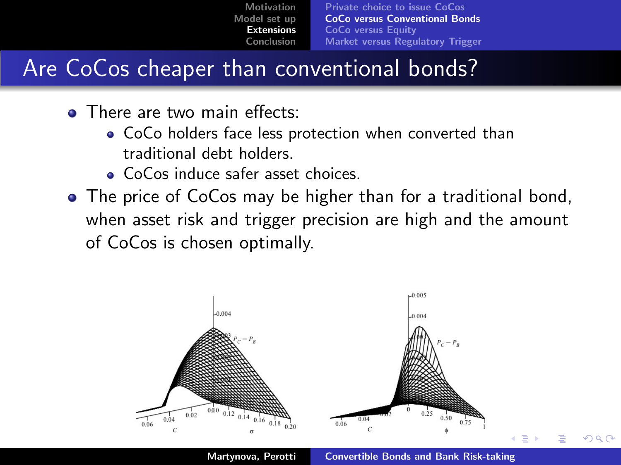[Private choice to issue CoCos](#page-15-0) [CoCo versus Conventional Bonds](#page-16-0) [CoCo versus Equity](#page-17-0) [Market versus Regulatory Trigger](#page-18-0)

# Are CoCos cheaper than conventional bonds?

- **o** There are two main effects:
	- CoCo holders face less protection when converted than traditional debt holders.
	- CoCos induce safer asset choices.
- The price of CoCos may be higher than for a traditional bond, when asset risk and trigger precision are high and the amount of CoCos is chosen optimally.

<span id="page-16-0"></span>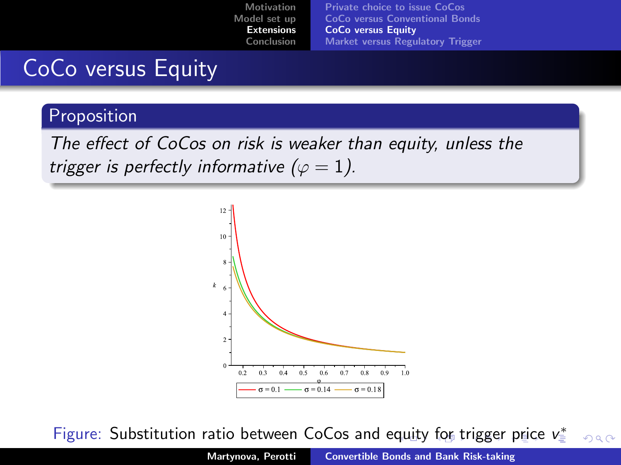### CoCo versus Equity

#### Proposition

The effect of CoCos on risk is weaker than equity, unless the trigger is perfectly informative ( $\varphi = 1$ ).

<span id="page-17-0"></span>

Figure: Substitution ratio between CoCos and e[qu](#page-16-0)i[ty](#page-18-0) [f](#page-16-0)[or](#page-17-0) [tr](#page-18-0)[i](#page-16-0)[gge](#page-17-0)[r](#page-15-0) [p](#page-14-0)r[ic](#page-22-0)[e](#page-23-0) [v](#page-0-0).  $000$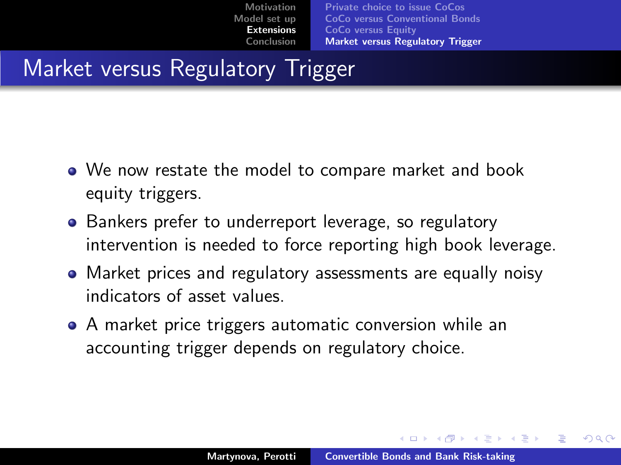# Market versus Regulatory Trigger

- We now restate the model to compare market and book equity triggers.
- Bankers prefer to underreport leverage, so regulatory intervention is needed to force reporting high book leverage.
- Market prices and regulatory assessments are equally noisy indicators of asset values.
- A market price triggers automatic conversion while an accounting trigger depends on regulatory choice.

<span id="page-18-0"></span>メロメ メタメ メモメ メモメ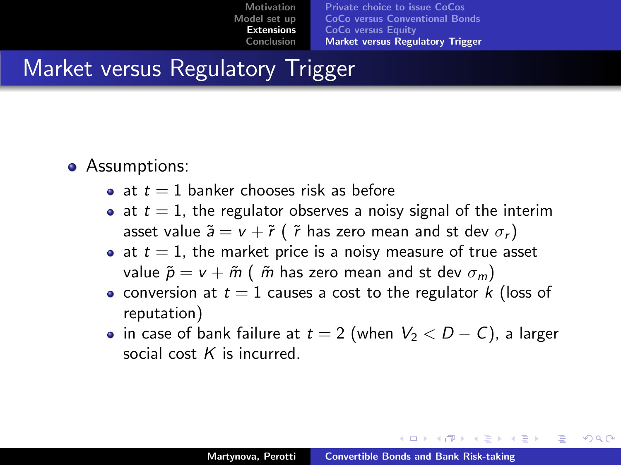### Market versus Regulatory Trigger

- Assumptions:
	- at  $t = 1$  banker chooses risk as before
	- at  $t = 1$ , the regulator observes a noisy signal of the interim asset value  $\tilde{a} = v + \tilde{r}$  (  $\tilde{r}$  has zero mean and st dev  $\sigma_r$ )
	- at  $t = 1$ , the market price is a noisy measure of true asset value  $\tilde{p} = v + \tilde{m}$  (  $\tilde{m}$  has zero mean and st dev  $\sigma_m$ )
	- $\bullet$  conversion at  $t = 1$  causes a cost to the regulator k (loss of reputation)
	- in case of bank failure at  $t = 2$  (when  $V_2 < D C$ ), a larger social cost  $K$  is incurred.

<span id="page-19-0"></span>メロメ メ御 メメ ミメ メミメ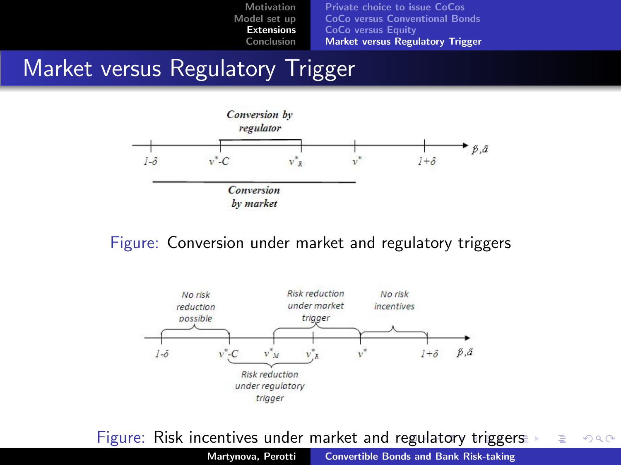### Market versus Regulatory Trigger



#### Figure: Conversion under market and regulatory triggers



Figure: Risk incentives under market and [reg](#page-19-0)[ul](#page-21-0)[at](#page-19-0)[or](#page-20-0)[y](#page-21-0) [t](#page-17-0)[ri](#page-18-0)[g](#page-23-0)g[er](#page-14-0)[s](#page-15-0)  $2Q$ 

<span id="page-20-0"></span>Martynova, Perotti [Convertible Bonds and Bank Risk-taking](#page-0-0)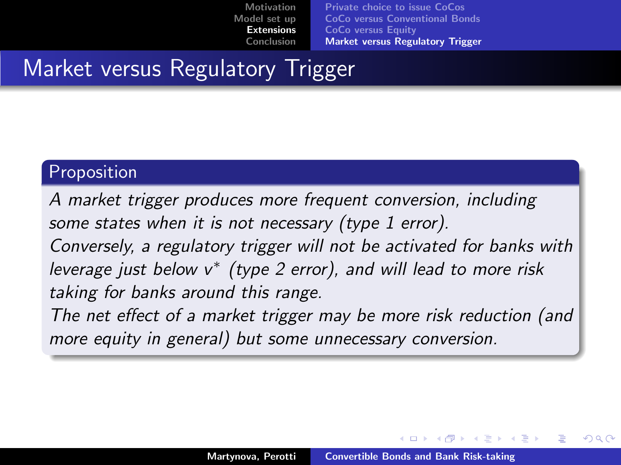[Motivation](#page-1-0) [Model set up](#page-4-0) [Extensions](#page-15-0) [Conclusion](#page-23-0) [Private choice to issue CoCos](#page-15-0)

[CoCo versus Conventional Bonds](#page-16-0) [CoCo versus Equity](#page-17-0) [Market versus Regulatory Trigger](#page-18-0)

# Market versus Regulatory Trigger

### Proposition

A market trigger produces more frequent conversion, including some states when it is not necessary (type 1 error). Conversely, a regulatory trigger will not be activated for banks with leverage just below  $v^*$  (type 2 error), and will lead to more risk taking for banks around this range. The net effect of a market trigger may be more risk reduction (and

more equity in general) but some unnecessary conversion.

<span id="page-21-0"></span>メロメ メ御 メメ ミメメ ミメ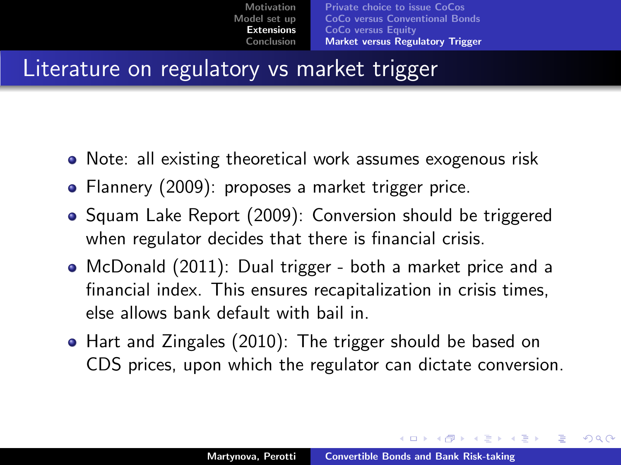### Literature on regulatory vs market trigger

- Note: all existing theoretical work assumes exogenous risk
- Flannery (2009): proposes a market trigger price.
- Squam Lake Report (2009): Conversion should be triggered when regulator decides that there is financial crisis.
- McDonald (2011): Dual trigger both a market price and a financial index. This ensures recapitalization in crisis times, else allows bank default with bail in.
- Hart and Zingales (2010): The trigger should be based on CDS prices, upon which the regulator can dictate conversion.

<span id="page-22-0"></span> $4.11 \times 1.00 \times 1.00 \times 10^{-2}$